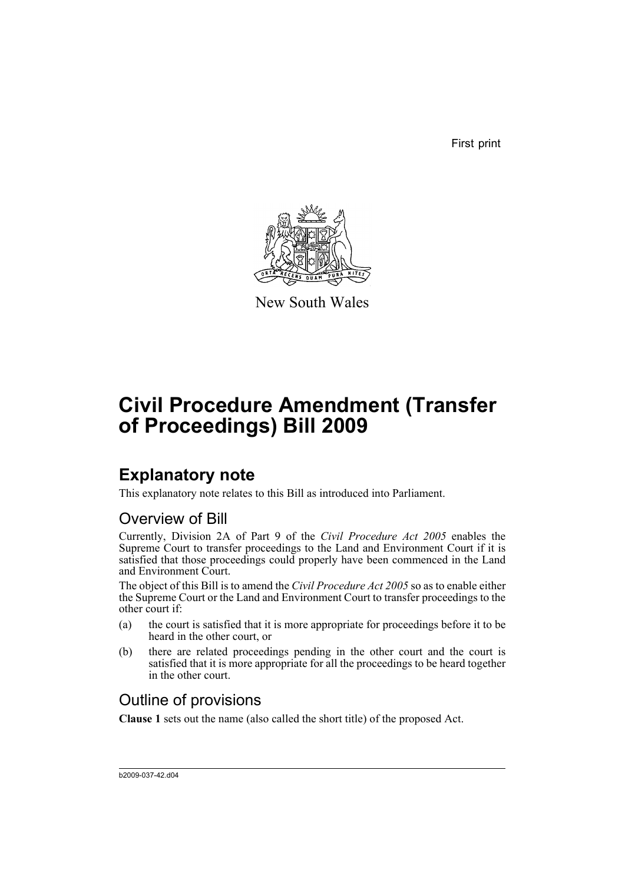First print



New South Wales

# **Civil Procedure Amendment (Transfer of Proceedings) Bill 2009**

## **Explanatory note**

This explanatory note relates to this Bill as introduced into Parliament.

### Overview of Bill

Currently, Division 2A of Part 9 of the *Civil Procedure Act 2005* enables the Supreme Court to transfer proceedings to the Land and Environment Court if it is satisfied that those proceedings could properly have been commenced in the Land and Environment Court.

The object of this Bill is to amend the *Civil Procedure Act 2005* so as to enable either the Supreme Court or the Land and Environment Court to transfer proceedings to the other court if:

- (a) the court is satisfied that it is more appropriate for proceedings before it to be heard in the other court, or
- (b) there are related proceedings pending in the other court and the court is satisfied that it is more appropriate for all the proceedings to be heard together in the other court.

### Outline of provisions

**Clause 1** sets out the name (also called the short title) of the proposed Act.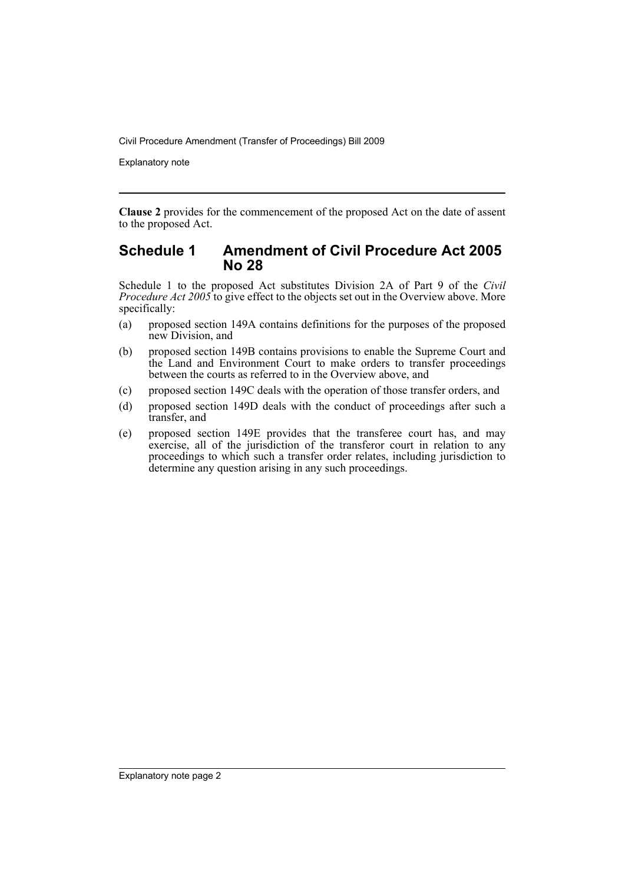Explanatory note

**Clause 2** provides for the commencement of the proposed Act on the date of assent to the proposed Act.

#### **Schedule 1 Amendment of Civil Procedure Act 2005 No 28**

Schedule 1 to the proposed Act substitutes Division 2A of Part 9 of the *Civil Procedure Act 2005* to give effect to the objects set out in the Overview above. More specifically:

- (a) proposed section 149A contains definitions for the purposes of the proposed new Division, and
- (b) proposed section 149B contains provisions to enable the Supreme Court and the Land and Environment Court to make orders to transfer proceedings between the courts as referred to in the Overview above, and
- (c) proposed section 149C deals with the operation of those transfer orders, and
- (d) proposed section 149D deals with the conduct of proceedings after such a transfer, and
- (e) proposed section 149E provides that the transferee court has, and may exercise, all of the jurisdiction of the transferor court in relation to any proceedings to which such a transfer order relates, including jurisdiction to determine any question arising in any such proceedings.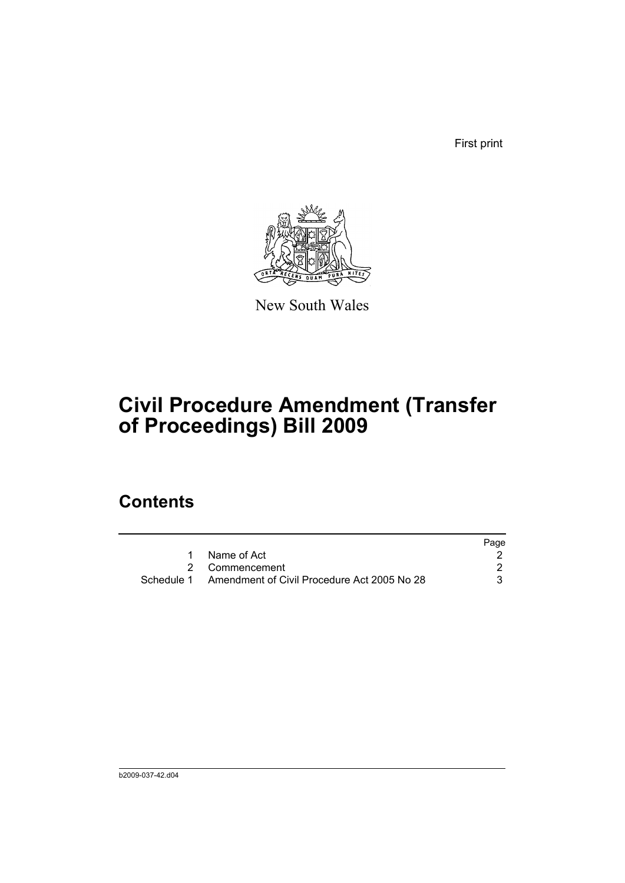First print



New South Wales

## **Civil Procedure Amendment (Transfer of Proceedings) Bill 2009**

## **Contents**

|                                                        | Page |
|--------------------------------------------------------|------|
| 1 Name of Act                                          |      |
| 2 Commencement                                         |      |
| Schedule 1 Amendment of Civil Procedure Act 2005 No 28 |      |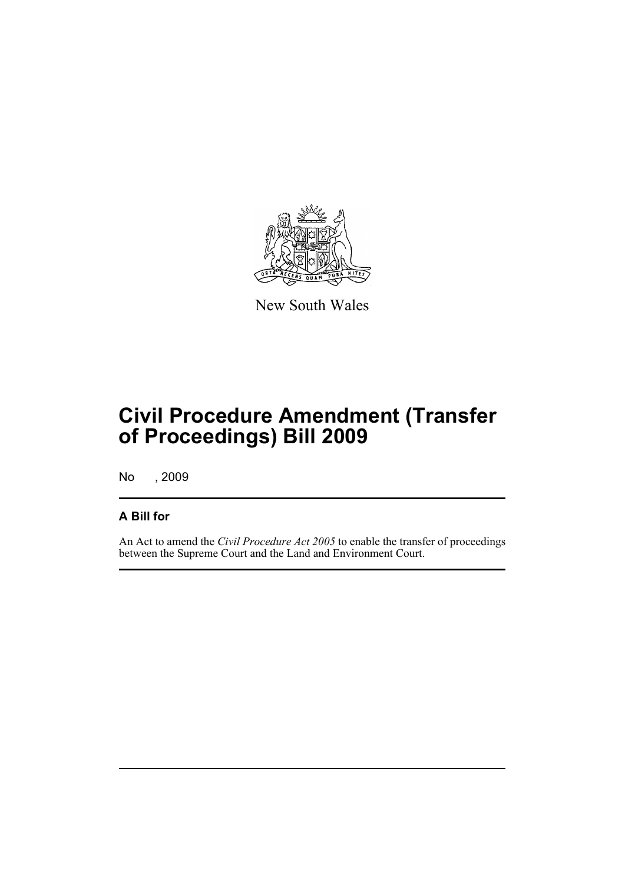

New South Wales

## **Civil Procedure Amendment (Transfer of Proceedings) Bill 2009**

No , 2009

#### **A Bill for**

An Act to amend the *Civil Procedure Act 2005* to enable the transfer of proceedings between the Supreme Court and the Land and Environment Court.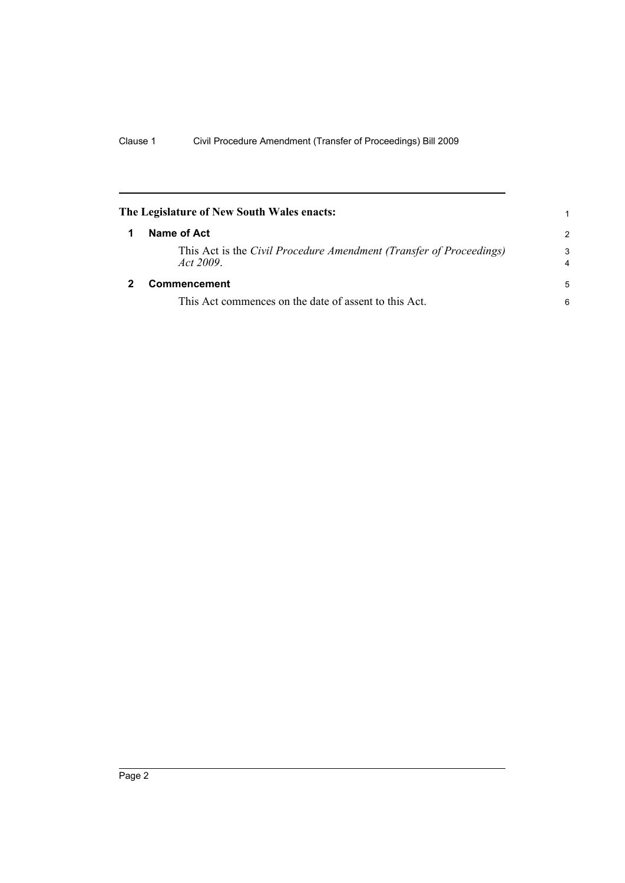<span id="page-5-1"></span><span id="page-5-0"></span>

| The Legislature of New South Wales enacts:                                      |               |
|---------------------------------------------------------------------------------|---------------|
| Name of Act                                                                     | $\mathcal{P}$ |
| This Act is the Civil Procedure Amendment (Transfer of Proceedings)<br>Act 2009 | 3             |
| <b>Commencement</b>                                                             | 5             |
| This Act commences on the date of assent to this Act.                           | 6             |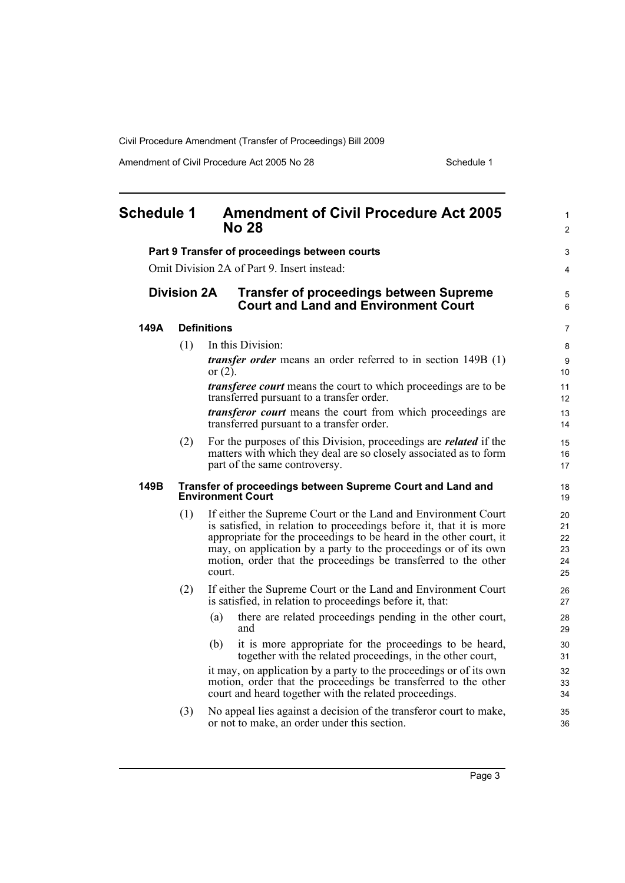Amendment of Civil Procedure Act 2005 No 28 Schedule 1

<span id="page-6-0"></span>

| <b>Schedule 1</b> |                    | <b>Amendment of Civil Procedure Act 2005</b><br><b>No 28</b>                                                                                                                                                                                                                                                                                              | 1<br>$\overline{c}$              |
|-------------------|--------------------|-----------------------------------------------------------------------------------------------------------------------------------------------------------------------------------------------------------------------------------------------------------------------------------------------------------------------------------------------------------|----------------------------------|
|                   |                    | Part 9 Transfer of proceedings between courts                                                                                                                                                                                                                                                                                                             | 3                                |
|                   |                    | Omit Division 2A of Part 9. Insert instead:                                                                                                                                                                                                                                                                                                               | 4                                |
|                   | <b>Division 2A</b> | <b>Transfer of proceedings between Supreme</b><br><b>Court and Land and Environment Court</b>                                                                                                                                                                                                                                                             | 5<br>6                           |
| 149A              |                    | <b>Definitions</b>                                                                                                                                                                                                                                                                                                                                        | 7                                |
|                   | (1)                | In this Division:                                                                                                                                                                                                                                                                                                                                         | 8                                |
|                   |                    | <i>transfer order</i> means an order referred to in section 149B (1)<br>or $(2)$ .                                                                                                                                                                                                                                                                        | 9<br>10                          |
|                   |                    | <i>transferee court</i> means the court to which proceedings are to be<br>transferred pursuant to a transfer order.                                                                                                                                                                                                                                       | 11<br>12                         |
|                   |                    | <i>transferor court</i> means the court from which proceedings are<br>transferred pursuant to a transfer order.                                                                                                                                                                                                                                           | 13<br>14                         |
|                   | (2)                | For the purposes of this Division, proceedings are <i>related</i> if the<br>matters with which they deal are so closely associated as to form<br>part of the same controversy.                                                                                                                                                                            | 15<br>16<br>17                   |
| 149B              |                    | Transfer of proceedings between Supreme Court and Land and<br><b>Environment Court</b>                                                                                                                                                                                                                                                                    | 18<br>19                         |
|                   | (1)                | If either the Supreme Court or the Land and Environment Court<br>is satisfied, in relation to proceedings before it, that it is more<br>appropriate for the proceedings to be heard in the other court, it<br>may, on application by a party to the proceedings or of its own<br>motion, order that the proceedings be transferred to the other<br>court. | 20<br>21<br>22<br>23<br>24<br>25 |
|                   | (2)                | If either the Supreme Court or the Land and Environment Court<br>is satisfied, in relation to proceedings before it, that:                                                                                                                                                                                                                                | 26<br>27                         |
|                   |                    | there are related proceedings pending in the other court,<br>(a)<br>and                                                                                                                                                                                                                                                                                   | 28<br>29                         |
|                   |                    | it is more appropriate for the proceedings to be heard,<br>(b)<br>together with the related proceedings, in the other court,                                                                                                                                                                                                                              | 30<br>31                         |
|                   |                    | it may, on application by a party to the proceedings or of its own<br>motion, order that the proceedings be transferred to the other<br>court and heard together with the related proceedings.                                                                                                                                                            | 32<br>33<br>34                   |
|                   | (3)                | No appeal lies against a decision of the transferor court to make,<br>or not to make, an order under this section.                                                                                                                                                                                                                                        | 35<br>36                         |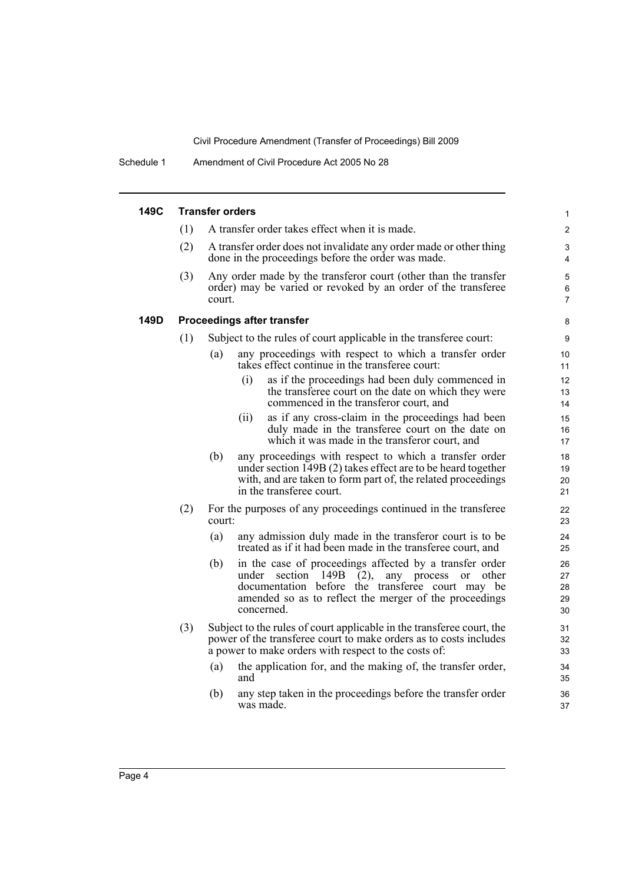Schedule 1 Amendment of Civil Procedure Act 2005 No 28

| 149C |     | <b>Transfer orders</b>                                                                                                                                                                                                                                               | 1                                        |
|------|-----|----------------------------------------------------------------------------------------------------------------------------------------------------------------------------------------------------------------------------------------------------------------------|------------------------------------------|
|      | (1) | A transfer order takes effect when it is made.                                                                                                                                                                                                                       | $\overline{2}$                           |
|      | (2) | A transfer order does not invalidate any order made or other thing<br>done in the proceedings before the order was made.                                                                                                                                             | 3<br>$\overline{4}$                      |
|      | (3) | Any order made by the transferor court (other than the transfer<br>order) may be varied or revoked by an order of the transferee<br>court.                                                                                                                           | $\mathbf 5$<br>$\,6\,$<br>$\overline{7}$ |
| 149D |     | <b>Proceedings after transfer</b>                                                                                                                                                                                                                                    | 8                                        |
|      | (1) | Subject to the rules of court applicable in the transferee court:                                                                                                                                                                                                    | 9                                        |
|      |     | any proceedings with respect to which a transfer order<br>(a)<br>takes effect continue in the transferee court:                                                                                                                                                      | 10 <sup>°</sup><br>11                    |
|      |     | as if the proceedings had been duly commenced in<br>(i)<br>the transferee court on the date on which they were<br>commenced in the transferor court, and                                                                                                             | 12<br>13<br>14                           |
|      |     | as if any cross-claim in the proceedings had been<br>(ii)<br>duly made in the transferee court on the date on<br>which it was made in the transferor court, and                                                                                                      | 15<br>16<br>17                           |
|      |     | (b)<br>any proceedings with respect to which a transfer order<br>under section 149B (2) takes effect are to be heard together<br>with, and are taken to form part of, the related proceedings<br>in the transferee court.                                            | 18<br>19<br>20<br>21                     |
|      | (2) | For the purposes of any proceedings continued in the transferee<br>court:                                                                                                                                                                                            | 22<br>23                                 |
|      |     | (a)<br>any admission duly made in the transferor court is to be<br>treated as if it had been made in the transferee court, and                                                                                                                                       | 24<br>25                                 |
|      |     | in the case of proceedings affected by a transfer order<br>(b)<br>under section<br>149B<br>any process<br>(2),<br><sub>or</sub><br>other<br>documentation before the transferee court may be<br>amended so as to reflect the merger of the proceedings<br>concerned. | 26<br>27<br>28<br>29<br>30               |
|      | (3) | Subject to the rules of court applicable in the transferee court, the<br>power of the transferee court to make orders as to costs includes<br>a power to make orders with respect to the costs of:                                                                   | 31<br>32<br>33                           |
|      |     | the application for, and the making of, the transfer order,<br>(a)<br>and                                                                                                                                                                                            | 34<br>35                                 |
|      |     | any step taken in the proceedings before the transfer order<br>(b)<br>was made.                                                                                                                                                                                      | 36<br>37                                 |